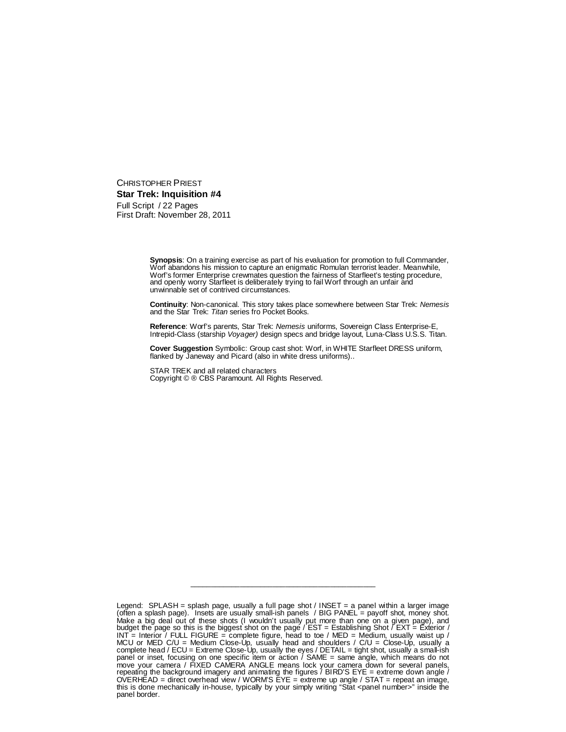CHRISTOPHER PRIEST **Star Trek: Inquisition #4** Full Script / 22 Pages First Draft: November 28, 2011

> **Synopsis**: On a training exercise as part of his evaluation for promotion to full Commander, Worf abandons his mission to capture an enigmatic Romulan terrorist leader. Meanwhile, Worf's former Enterprise crewmates question the fairness of Starfleet's testing procedure, and openly worry Starfleet is deliberately trying to fail Worf through an unfair and unwinnable set of contrived circumstances.

> **Continuity**: Non-canonical. This story takes place somewhere between Star Trek: *Nemesis* and the Star Trek: *Titan* series fro Pocket Books.

**Reference**: Worf's parents, Star Trek: *Nemesis* uniforms, Sovereign Class Enterprise-E, Intrepid-Class (starship *Voyager)* design specs and bridge layout, Luna-Class U.S.S. Titan.

**Cover Suggestion** Symbolic: Group cast shot: Worf, in WHITE Starfleet DRESS uniform, flanked by Janeway and Picard (also in white dress uniforms)..

STAR TREK and all related characters Copyright © ® CBS Paramount. All Rights Reserved.

Legend: SPLASH = splash page, usually a full page shot / INSET = a panel within a larger image (often a splash page). Insets are usually small-ish panels / BIG PANEL = payoff shot, money shot. Make a big deal out of these shots (I wouldn't usually put more than one on a given page), and budget the page so this is the biggest shot on the page / EST = Establishing Shot / EXT = Exterior / INT  $=$  Interior / FULL FIGURE = complete figure, head to toe / MED = Medium, usually waist up / MCU or MED C/U = Medium Close-Up, usually head and shoulders / C/U = Close-Up, usually a complete head / ECU = Extreme Close-Up, usually the eyes / DETAIL = tight shot, usually a small-ish panel or inset, focusing on one specific item or action / SAME = same angle, which means do not move your camera / FIXED CAMERA ANGLE means lock your camera down for several panels, repeating the background imagery and animating the figures / BIRD'S EYE = extreme down angle / OVERHEAD = direct overhead view / WORM'S EYE = extreme up angle / STAT = repeat an image, this is done mechanically in-house, typically by your simply writing "Stat <panel number>" inside the panel border.

\_\_\_\_\_\_\_\_\_\_\_\_\_\_\_\_\_\_\_\_\_\_\_\_\_\_\_\_\_\_\_\_\_\_\_\_\_\_\_\_\_\_\_\_\_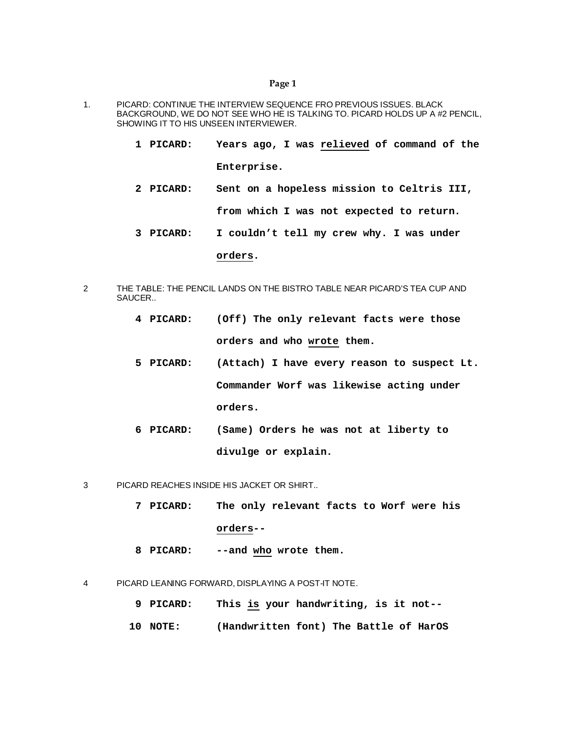- 1. PICARD: CONTINUE THE INTERVIEW SEQUENCE FRO PREVIOUS ISSUES. BLACK BACKGROUND, WE DO NOT SEE WHO HE IS TALKING TO. PICARD HOLDS UP A #2 PENCIL, SHOWING IT TO HIS UNSEEN INTERVIEWER.
	- **1 PICARD: Years ago, I was relieved of command of the Enterprise.**
	- **2 PICARD: Sent on a hopeless mission to Celtris III, from which I was not expected to return.**
	- **3 PICARD: I couldn't tell my crew why. I was under**

#### **orders.**

- 2 THE TABLE: THE PENCIL LANDS ON THE BISTRO TABLE NEAR PICARD'S TEA CUP AND SAUCER..
	- **4 PICARD: (Off) The only relevant facts were those orders and who wrote them.**
	- **5 PICARD: (Attach) I have every reason to suspect Lt. Commander Worf was likewise acting under orders.**
	- **6 PICARD: (Same) Orders he was not at liberty to divulge or explain.**
- 3 PICARD REACHES INSIDE HIS JACKET OR SHIRT..
	- **7 PICARD: The only relevant facts to Worf were his orders--**
	- **8 PICARD: --and who wrote them.**
- 4 PICARD LEANING FORWARD, DISPLAYING A POST-IT NOTE.
	- **9 PICARD: This is your handwriting, is it not--**
	- **10 NOTE: (Handwritten font) The Battle of HarOS**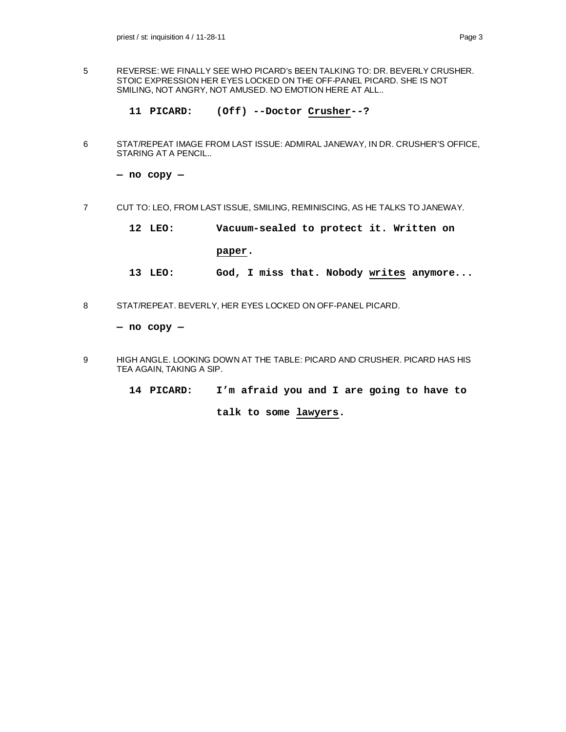- 5 REVERSE: WE FINALLY SEE WHO PICARD's BEEN TALKING TO: DR. BEVERLY CRUSHER. STOIC EXPRESSION HER EYES LOCKED ON THE OFF-PANEL PICARD. SHE IS NOT SMILING, NOT ANGRY, NOT AMUSED. NO EMOTION HERE AT ALL..
	- **11 PICARD: (Off) --Doctor Crusher--?**
- 6 STAT/REPEAT IMAGE FROM LAST ISSUE: ADMIRAL JANEWAY, IN DR. CRUSHER'S OFFICE, STARING AT A PENCIL..

**— no copy —**

- 7 CUT TO: LEO, FROM LAST ISSUE, SMILING, REMINISCING, AS HE TALKS TO JANEWAY.
	- **12 LEO: Vacuum-sealed to protect it. Written on**

#### **paper.**

- **13 LEO: God, I miss that. Nobody writes anymore...**
- 8 STAT/REPEAT. BEVERLY, HER EYES LOCKED ON OFF-PANEL PICARD.

**— no copy —**

- 9 HIGH ANGLE. LOOKING DOWN AT THE TABLE: PICARD AND CRUSHER. PICARD HAS HIS TEA AGAIN, TAKING A SIP.
	- **14 PICARD: I'm afraid you and I are going to have to**

**talk to some lawyers.**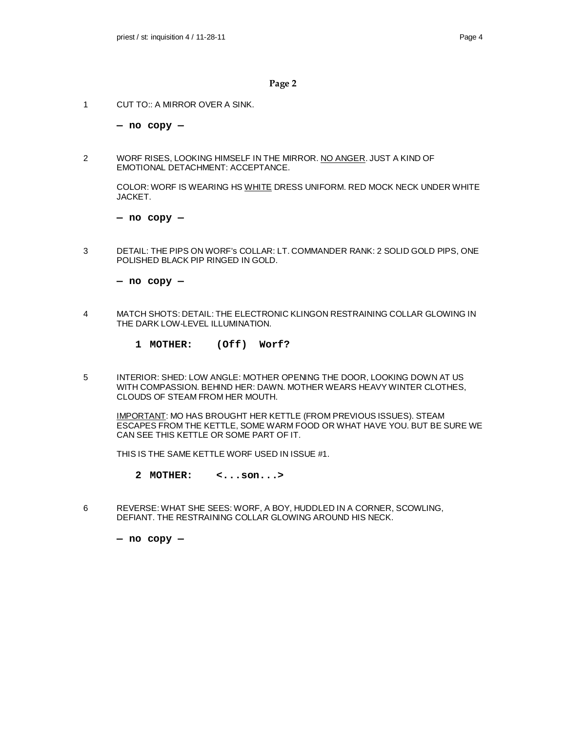1 CUT TO:: A MIRROR OVER A SINK.

**— no copy —**

2 WORF RISES, LOOKING HIMSELF IN THE MIRROR. NO ANGER. JUST A KIND OF EMOTIONAL DETACHMENT: ACCEPTANCE.

COLOR: WORF IS WEARING HS WHITE DRESS UNIFORM. RED MOCK NECK UNDER WHITE JACKET.

**— no copy —**

3 DETAIL: THE PIPS ON WORF's COLLAR: LT. COMMANDER RANK: 2 SOLID GOLD PIPS, ONE POLISHED BLACK PIP RINGED IN GOLD.

**— no copy —**

- 4 MATCH SHOTS: DETAIL: THE ELECTRONIC KLINGON RESTRAINING COLLAR GLOWING IN THE DARK LOW-LEVEL ILLUMINATION.
	- **1 MOTHER: (Off) Worf?**
- 5 INTERIOR: SHED: LOW ANGLE: MOTHER OPENING THE DOOR, LOOKING DOWN AT US WITH COMPASSION. BEHIND HER: DAWN. MOTHER WEARS HEAVY WINTER CLOTHES, CLOUDS OF STEAM FROM HER MOUTH.

IMPORTANT: MO HAS BROUGHT HER KETTLE (FROM PREVIOUS ISSUES). STEAM ESCAPES FROM THE KETTLE, SOME WARM FOOD OR WHAT HAVE YOU. BUT BE SURE WE CAN SEE THIS KETTLE OR SOME PART OF IT.

THIS IS THE SAME KETTLE WORF USED IN ISSUE #1.

- **2 MOTHER: <...son...>**
- 6 REVERSE: WHAT SHE SEES: WORF, A BOY, HUDDLED IN A CORNER, SCOWLING, DEFIANT. THE RESTRAINING COLLAR GLOWING AROUND HIS NECK.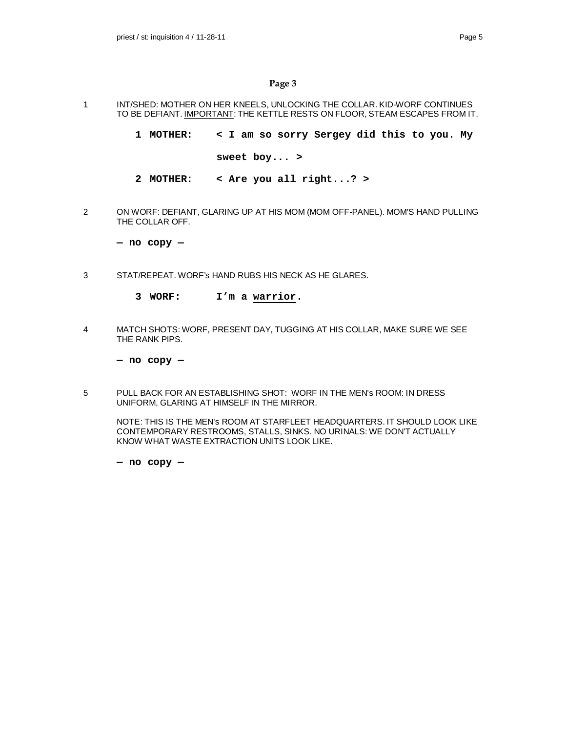- 1 INT/SHED: MOTHER ON HER KNEELS, UNLOCKING THE COLLAR. KID-WORF CONTINUES TO BE DEFIANT. IMPORTANT: THE KETTLE RESTS ON FLOOR, STEAM ESCAPES FROM IT.
	- **1 MOTHER: < I am so sorry Sergey did this to you. My**
		- **sweet boy... >**
	- **2 MOTHER: < Are you all right...? >**
- 2 ON WORF: DEFIANT, GLARING UP AT HIS MOM (MOM OFF-PANEL). MOM'S HAND PULLING THE COLLAR OFF.

**— no copy —**

- 3 STAT/REPEAT. WORF's HAND RUBS HIS NECK AS HE GLARES.
	- **3 WORF: I'm a warrior.**
- 4 MATCH SHOTS: WORF, PRESENT DAY, TUGGING AT HIS COLLAR, MAKE SURE WE SEE THE RANK PIPS.

**— no copy —**

5 PULL BACK FOR AN ESTABLISHING SHOT: WORF IN THE MEN's ROOM: IN DRESS UNIFORM, GLARING AT HIMSELF IN THE MIRROR.

NOTE: THIS IS THE MEN's ROOM AT STARFLEET HEADQUARTERS. IT SHOULD LOOK LIKE CONTEMPORARY RESTROOMS, STALLS, SINKS. NO URINALS: WE DON'T ACTUALLY KNOW WHAT WASTE EXTRACTION UNITS LOOK LIKE.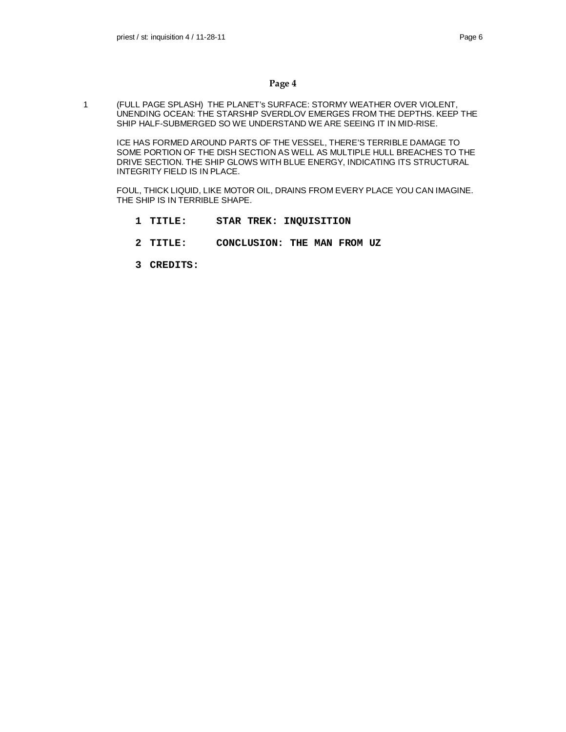1 (FULL PAGE SPLASH) THE PLANET's SURFACE: STORMY WEATHER OVER VIOLENT, UNENDING OCEAN: THE STARSHIP SVERDLOV EMERGES FROM THE DEPTHS. KEEP THE SHIP HALF-SUBMERGED SO WE UNDERSTAND WE ARE SEEING IT IN MID-RISE.

ICE HAS FORMED AROUND PARTS OF THE VESSEL, THERE'S TERRIBLE DAMAGE TO SOME PORTION OF THE DISH SECTION AS WELL AS MULTIPLE HULL BREACHES TO THE DRIVE SECTION. THE SHIP GLOWS WITH BLUE ENERGY, INDICATING ITS STRUCTURAL INTEGRITY FIELD IS IN PLACE.

FOUL, THICK LIQUID, LIKE MOTOR OIL, DRAINS FROM EVERY PLACE YOU CAN IMAGINE. THE SHIP IS IN TERRIBLE SHAPE.

- **1 TITLE: STAR TREK: INQUISITION**
- **2 TITLE: CONCLUSION: THE MAN FROM UZ**
- **3 CREDITS:**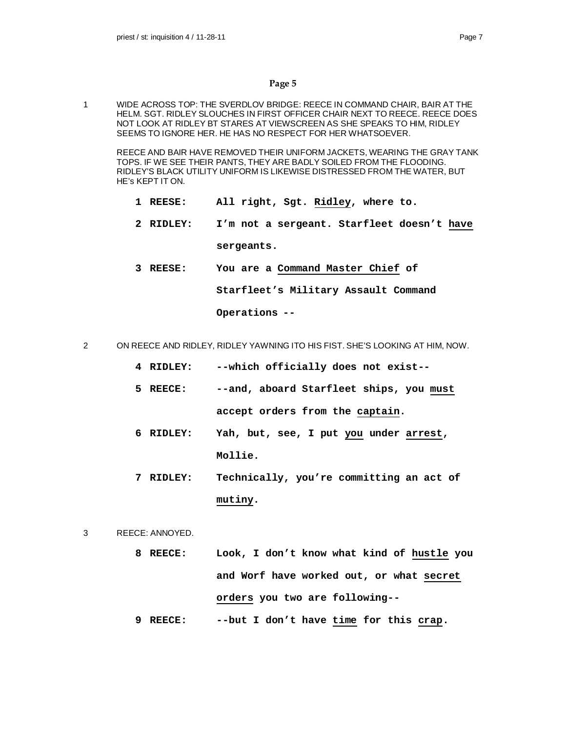1 WIDE ACROSS TOP: THE SVERDLOV BRIDGE: REECE IN COMMAND CHAIR, BAIR AT THE HELM. SGT. RIDLEY SLOUCHES IN FIRST OFFICER CHAIR NEXT TO REECE. REECE DOES NOT LOOK AT RIDLEY BT STARES AT VIEWSCREEN AS SHE SPEAKS TO HIM, RIDLEY SEEMS TO IGNORE HER. HE HAS NO RESPECT FOR HER WHATSOEVER.

REECE AND BAIR HAVE REMOVED THEIR UNIFORM JACKETS, WEARING THE GRAY TANK TOPS. IF WE SEE THEIR PANTS, THEY ARE BADLY SOILED FROM THE FLOODING. RIDLEY'S BLACK UTILITY UNIFORM IS LIKEWISE DISTRESSED FROM THE WATER, BUT HE's KEPT IT ON.

- **1 REESE: All right, Sgt. Ridley, where to.**
- **2 RIDLEY: I'm not a sergeant. Starfleet doesn't have sergeants.**
- **3 REESE: You are a Command Master Chief of**

**Starfleet's Military Assault Command**

**Operations --**

- 2 ON REECE AND RIDLEY, RIDLEY YAWNING ITO HIS FIST. SHE'S LOOKING AT HIM, NOW.
	- **4 RIDLEY: --which officially does not exist--**
	- **5 REECE: --and, aboard Starfleet ships, you must accept orders from the captain.**
	- **6 RIDLEY: Yah, but, see, I put you under arrest, Mollie.**
	- **7 RIDLEY: Technically, you're committing an act of mutiny.**
- 3 REECE: ANNOYED.
	- **8 REECE: Look, I don't know what kind of hustle you and Worf have worked out, or what secret orders you two are following--**
	- **9 REECE: --but I don't have time for this crap.**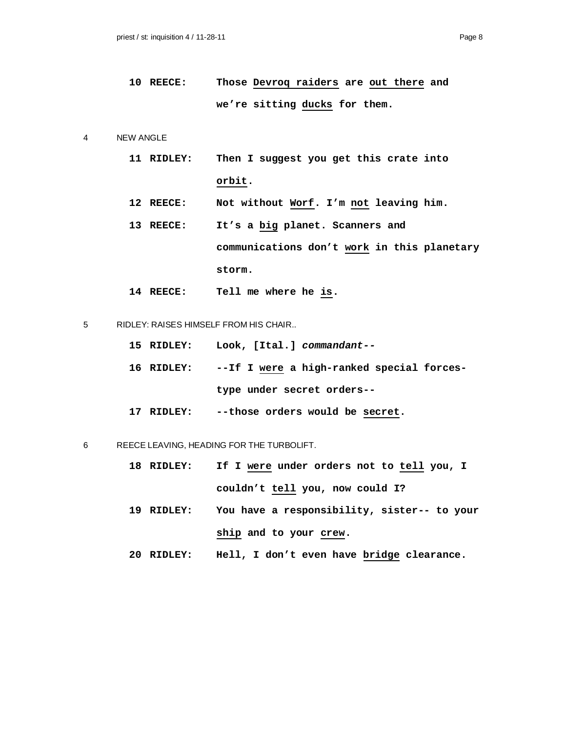```
10 REECE: Those Devroq raiders are out there and
 we're sitting ducks for them.
```
4 NEW ANGLE

|  | 11 RIDLEY: |        | Then I suggest you get this crate into |  |  |  |
|--|------------|--------|----------------------------------------|--|--|--|
|  |            | orbit. |                                        |  |  |  |

- **12 REECE: Not without Worf. I'm not leaving him.**
- **13 REECE: It's a big planet. Scanners and communications don't work in this planetary storm.**
- **14 REECE: Tell me where he is.**
- 5 RIDLEY: RAISES HIMSELF FROM HIS CHAIR..

| 15 RIDLEY: | Look, [Ital.] <i>commandant--</i>                    |
|------------|------------------------------------------------------|
|            | 16 RIDLEY: --If I were a high-ranked special forces- |
|            | type under secret orders--                           |

**17 RIDLEY: --those orders would be secret.**

6 REECE LEAVING, HEADING FOR THE TURBOLIFT.

- **18 RIDLEY: If I were under orders not to tell you, I couldn't tell you, now could I?**
- **19 RIDLEY: You have a responsibility, sister-- to your** ship and to your crew.
- **20 RIDLEY: Hell, I don't even have bridge clearance.**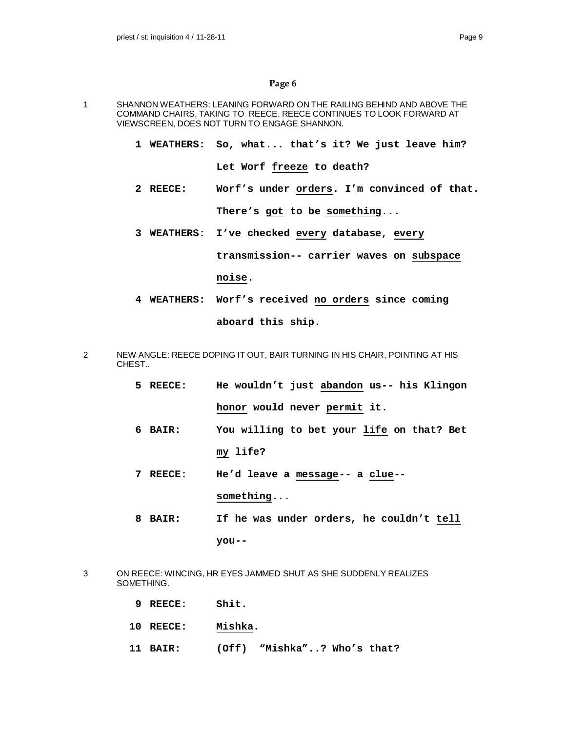- 1 SHANNON WEATHERS: LEANING FORWARD ON THE RAILING BEHIND AND ABOVE THE COMMAND CHAIRS, TAKING TO REECE. REECE CONTINUES TO LOOK FORWARD AT VIEWSCREEN, DOES NOT TURN TO ENGAGE SHANNON.
	- **1 WEATHERS: So, what... that's it? We just leave him?**

**Let Worf freeze to death?**

- **2 REECE: Worf's under orders. I'm convinced of that. There's got to be something...**
- **3 WEATHERS: I've checked every database, every transmission-- carrier waves on subspace**

**noise.**

- **4 WEATHERS: Worf's received no orders since coming aboard this ship.**
- 2 NEW ANGLE: REECE DOPING IT OUT, BAIR TURNING IN HIS CHAIR, POINTING AT HIS CHEST..
	- **5 REECE: He wouldn't just abandon us-- his Klingon honor would never permit it.**
	- **6 BAIR: You willing to bet your life on that? Bet my life?**
	- **7 REECE: He'd leave a message-- a clue- something...**
	- **8 BAIR: If he was under orders, he couldn't tell you--**
- 3 ON REECE: WINCING, HR EYES JAMMED SHUT AS SHE SUDDENLY REALIZES SOMETHING.
	- **9 REECE: Shit.**
	- **10 REECE: Mishka.**
	- **11 BAIR: (Off) "Mishka"..? Who's that?**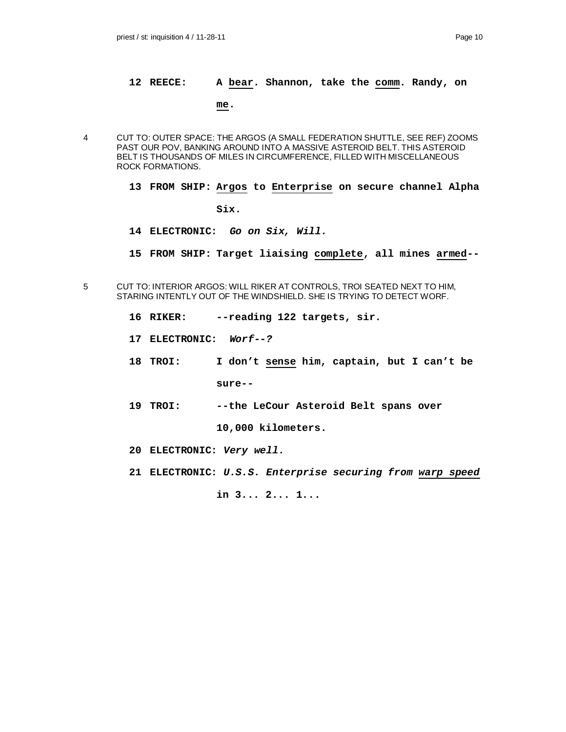#### **12 REECE: A bear. Shannon, take the comm. Randy, on**

### **me.**

- 4 CUT TO: OUTER SPACE: THE ARGOS (A SMALL FEDERATION SHUTTLE, SEE REF) ZOOMS PAST OUR POV, BANKING AROUND INTO A MASSIVE ASTEROID BELT. THIS ASTEROID BELT IS THOUSANDS OF MILES IN CIRCUMFERENCE, FILLED WITH MISCELLANEOUS ROCK FORMATIONS.
	- **13 FROM SHIP: Argos to Enterprise on secure channel Alpha Six.**
	- **14 ELECTRONIC:** *Go on Six, Will.*
	- **15 FROM SHIP: Target liaising complete, all mines armed--**
- 5 CUT TO: INTERIOR ARGOS: WILL RIKER AT CONTROLS, TROI SEATED NEXT TO HIM, STARING INTENTLY OUT OF THE WINDSHIELD. SHE IS TRYING TO DETECT WORF.
	- **16 RIKER: --reading 122 targets, sir.**
	- **17 ELECTRONIC:** *Worf--?*
	- **18 TROI: I don't sense him, captain, but I can't be**

**sure--**

**19 TROI: --the LeCour Asteroid Belt spans over**

**10,000 kilometers.**

- **20 ELECTRONIC:** *Very well.*
- **21 ELECTRONIC:** *U.S.S. Enterprise securing from warp speed*

**in 3... 2... 1...**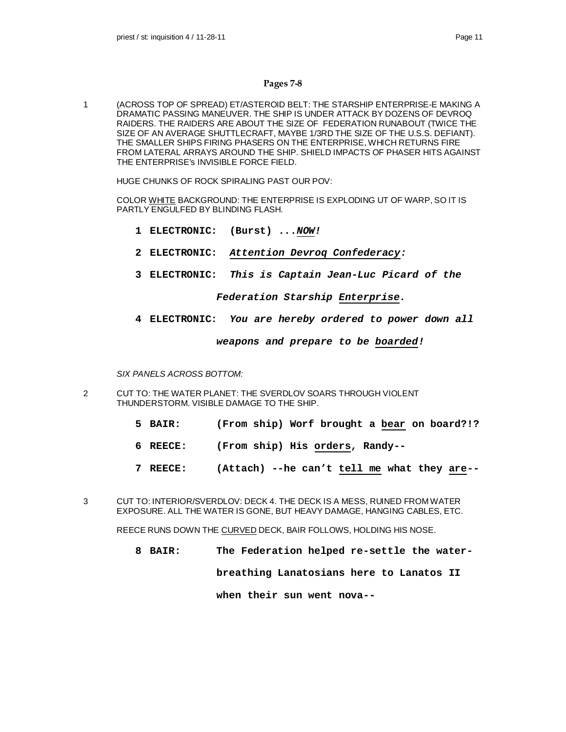### **Pages 7-8**

1 (ACROSS TOP OF SPREAD) ET/ASTEROID BELT: THE STARSHIP ENTERPRISE-E MAKING A DRAMATIC PASSING MANEUVER. THE SHIP IS UNDER ATTACK BY DOZENS OF DEVROQ RAIDERS. THE RAIDERS ARE ABOUT THE SIZE OF FEDERATION RUNABOUT (TWICE THE SIZE OF AN AVERAGE SHUTTLECRAFT, MAYBE 1/3RD THE SIZE OF THE U.S.S. DEFIANT). THE SMALLER SHIPS FIRING PHASERS ON THE ENTERPRISE, WHICH RETURNS FIRE FROM LATERAL ARRAYS AROUND THE SHIP. SHIELD IMPACTS OF PHASER HITS AGAINST THE ENTERPRISE's INVISIBLE FORCE FIELD.

HUGE CHUNKS OF ROCK SPIRALING PAST OUR POV:

COLOR WHITE BACKGROUND: THE ENTERPRISE IS EXPLODING UT OF WARP, SO IT IS PARTLY ENGULFED BY BLINDING FLASH.

- **1 ELECTRONIC: (Burst) ...***NOW!*
- **2 ELECTRONIC:** *Attention Devroq Confederacy:*
- **3 ELECTRONIC:** *This is Captain Jean-Luc Picard of the*

#### *Federation Starship Enterprise.*

**4 ELECTRONIC:** *You are hereby ordered to power down all*

*weapons and prepare to be boarded!*

*SIX PANELS ACROSS BOTTOM:*

- 2 CUT TO: THE WATER PLANET: THE SVERDLOV SOARS THROUGH VIOLENT THUNDERSTORM. VISIBLE DAMAGE TO THE SHIP.
	- **5 BAIR: (From ship) Worf brought a bear on board?!?**
	- **6 REECE: (From ship) His orders, Randy--**
	- **7 REECE: (Attach) --he can't tell me what they are--**
- 3 CUT TO: INTERIOR/SVERDLOV: DECK 4. THE DECK IS A MESS, RUINED FROM WATER EXPOSURE. ALL THE WATER IS GONE, BUT HEAVY DAMAGE, HANGING CABLES, ETC.

REECE RUNS DOWN THE CURVED DECK, BAIR FOLLOWS, HOLDING HIS NOSE.

**8 BAIR: The Federation helped re-settle the water-**

**breathing Lanatosians here to Lanatos II**

**when their sun went nova--**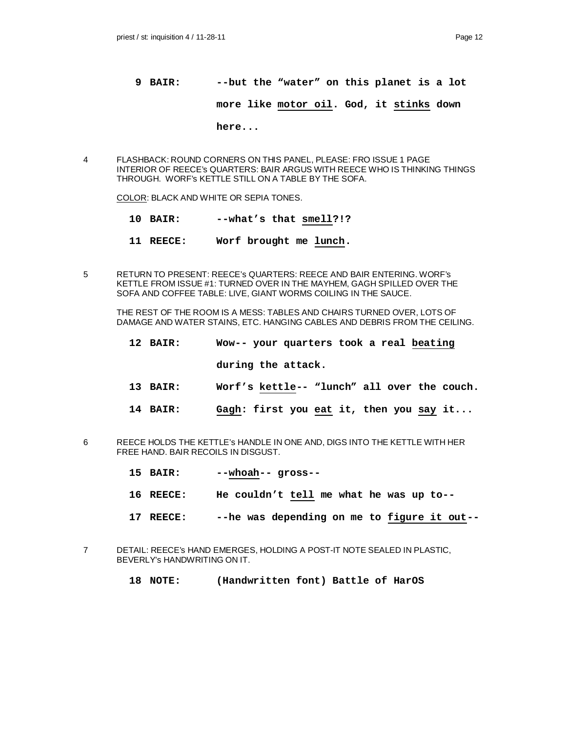- **9 BAIR: --but the "water" on this planet is a lot more like motor oil. God, it stinks down**
- 4 FLASHBACK: ROUND CORNERS ON THIS PANEL, PLEASE: FRO ISSUE 1 PAGE INTERIOR OF REECE's QUARTERS: BAIR ARGUS WITH REECE WHO IS THINKING THINGS THROUGH. WORF's KETTLE STILL ON A TABLE BY THE SOFA.

COLOR: BLACK AND WHITE OR SEPIA TONES.

**10 BAIR: --what's that smell?!?**

**here...**

- **11 REECE: Worf brought me lunch.**
- 5 RETURN TO PRESENT: REECE's QUARTERS: REECE AND BAIR ENTERING. WORF's KETTLE FROM ISSUE #1: TURNED OVER IN THE MAYHEM, GAGH SPILLED OVER THE SOFA AND COFFEE TABLE: LIVE, GIANT WORMS COILING IN THE SAUCE.

THE REST OF THE ROOM IS A MESS: TABLES AND CHAIRS TURNED OVER, LOTS OF DAMAGE AND WATER STAINS, ETC. HANGING CABLES AND DEBRIS FROM THE CEILING.

- **12 BAIR: Wow-- your quarters took a real beating during the attack.**
- **13 BAIR: Worf's kettle-- "lunch" all over the couch.**
- **14 BAIR: Gagh: first you eat it, then you say it...**
- 6 REECE HOLDS THE KETTLE's HANDLE IN ONE AND, DIGS INTO THE KETTLE WITH HER FREE HAND. BAIR RECOILS IN DISGUST.
	- **15 BAIR: --whoah-- gross--**
	- **16 REECE: He couldn't tell me what he was up to--**
	- **17 REECE: --he was depending on me to figure it out--**
- 7 DETAIL: REECE's HAND EMERGES, HOLDING A POST-IT NOTE SEALED IN PLASTIC, BEVERLY's HANDWRITING ON IT.
	- **18 NOTE: (Handwritten font) Battle of HarOS**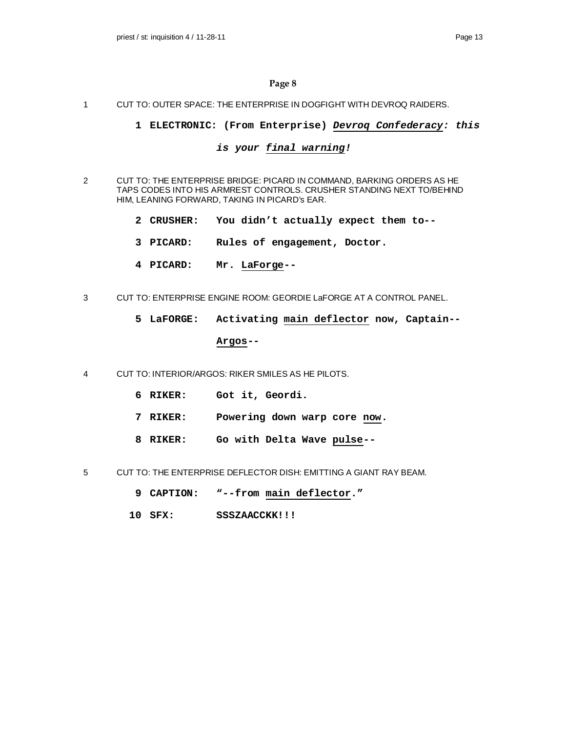### 1 CUT TO: OUTER SPACE: THE ENTERPRISE IN DOGFIGHT WITH DEVROQ RAIDERS.

### **1 ELECTRONIC: (From Enterprise)** *Devroq Confederacy: this*

# *is your final warning!*

- 2 CUT TO: THE ENTERPRISE BRIDGE: PICARD IN COMMAND, BARKING ORDERS AS HE TAPS CODES INTO HIS ARMREST CONTROLS. CRUSHER STANDING NEXT TO/BEHIND HIM, LEANING FORWARD, TAKING IN PICARD's EAR.
	- **2 CRUSHER: You didn't actually expect them to--**
	- **3 PICARD: Rules of engagement, Doctor.**
	- **4 PICARD: Mr. LaForge--**
- 3 CUT TO: ENTERPRISE ENGINE ROOM: GEORDIE LaFORGE AT A CONTROL PANEL.
	- **5 LaFORGE: Activating main deflector now, Captain--**

#### **Argos--**

- 4 CUT TO: INTERIOR/ARGOS: RIKER SMILES AS HE PILOTS.
	- **6 RIKER: Got it, Geordi.**
	- **7 RIKER: Powering down warp core now.**
	- **8 RIKER: Go with Delta Wave pulse--**
- 5 CUT TO: THE ENTERPRISE DEFLECTOR DISH: EMITTING A GIANT RAY BEAM.
	- **9 CAPTION: "--from main deflector."**
	- **10 SFX: SSSZAACCKK!!!**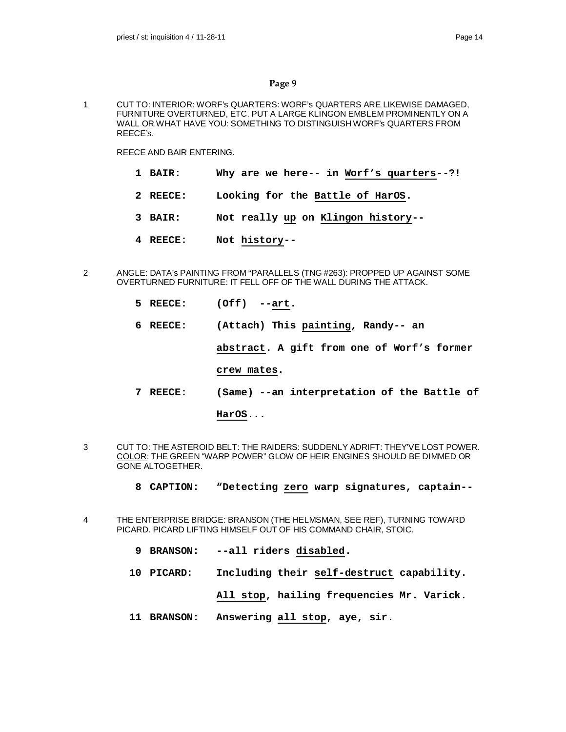1 CUT TO: INTERIOR: WORF's QUARTERS: WORF's QUARTERS ARE LIKEWISE DAMAGED, FURNITURE OVERTURNED, ETC. PUT A LARGE KLINGON EMBLEM PROMINENTLY ON A WALL OR WHAT HAVE YOU: SOMETHING TO DISTINGUISH WORF's QUARTERS FROM REECE's.

REECE AND BAIR ENTERING.

- **1 BAIR: Why are we here-- in Worf's quarters--?!**
- **2 REECE: Looking for the Battle of HarOS.**
- **3 BAIR: Not really up on Klingon history--**
- **4 REECE: Not history--**
- 2 ANGLE: DATA's PAINTING FROM "PARALLELS (TNG #263): PROPPED UP AGAINST SOME OVERTURNED FURNITURE: IT FELL OFF OF THE WALL DURING THE ATTACK.
	- **5 REECE: (Off) --art.**
	- **6 REECE: (Attach) This painting, Randy-- an**

**abstract. A gift from one of Worf's former**

**crew mates.**

**7 REECE: (Same) --an interpretation of the Battle of**

**HarOS...**

- 3 CUT TO: THE ASTEROID BELT: THE RAIDERS: SUDDENLY ADRIFT: THEY'VE LOST POWER. COLOR: THE GREEN "WARP POWER" GLOW OF HEIR ENGINES SHOULD BE DIMMED OR GONE ALTOGETHER.
	- **8 CAPTION: "Detecting zero warp signatures, captain--**
- 4 THE ENTERPRISE BRIDGE: BRANSON (THE HELMSMAN, SEE REF), TURNING TOWARD PICARD. PICARD LIFTING HIMSELF OUT OF HIS COMMAND CHAIR, STOIC.
	- **9 BRANSON: --all riders disabled.**
	- **10 PICARD: Including their self-destruct capability.**

**All stop, hailing frequencies Mr. Varick.**

**11 BRANSON: Answering all stop, aye, sir.**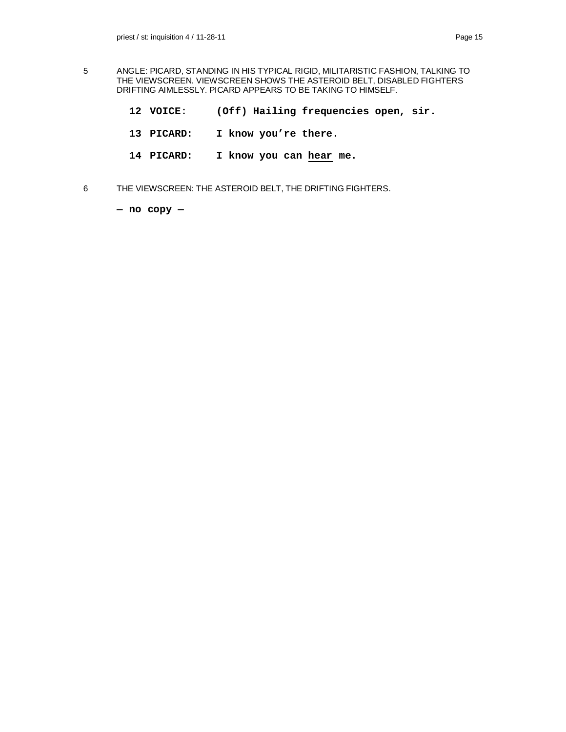- 5 ANGLE: PICARD, STANDING IN HIS TYPICAL RIGID, MILITARISTIC FASHION, TALKING TO THE VIEWSCREEN. VIEWSCREEN SHOWS THE ASTEROID BELT, DISABLED FIGHTERS DRIFTING AIMLESSLY. PICARD APPEARS TO BE TAKING TO HIMSELF.
	- **12 VOICE: (Off) Hailing frequencies open, sir.**
	- **13 PICARD: I know you're there.**
	- **14 PICARD: I know you can hear me.**
- 6 THE VIEWSCREEN: THE ASTEROID BELT, THE DRIFTING FIGHTERS.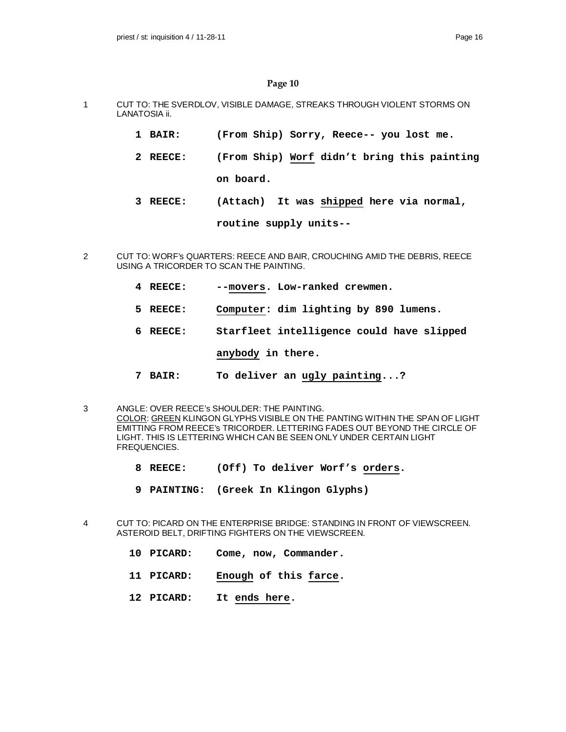- 1 CUT TO: THE SVERDLOV, VISIBLE DAMAGE, STREAKS THROUGH VIOLENT STORMS ON LANATOSIA ii.
	- **1 BAIR: (From Ship) Sorry, Reece-- you lost me.**
	- **2 REECE: (From Ship) Worf didn't bring this painting**

**on board.**

**3 REECE: (Attach) It was shipped here via normal,**

**routine supply units--**

- 2 CUT TO: WORF's QUARTERS: REECE AND BAIR, CROUCHING AMID THE DEBRIS, REECE USING A TRICORDER TO SCAN THE PAINTING.
	- **4 REECE: --movers. Low-ranked crewmen.**
	- **5 REECE: Computer: dim lighting by 890 lumens.**
	- **6 REECE: Starfleet intelligence could have slipped**

**anybody in there.**

- **7 BAIR: To deliver an ugly painting...?**
- 3 ANGLE: OVER REECE's SHOULDER: THE PAINTING. COLOR: GREEN KLINGON GLYPHS VISIBLE ON THE PANTING WITHIN THE SPAN OF LIGHT EMITTING FROM REECE's TRICORDER. LETTERING FADES OUT BEYOND THE CIRCLE OF LIGHT. THIS IS LETTERING WHICH CAN BE SEEN ONLY UNDER CERTAIN LIGHT FREQUENCIES.
	- **8 REECE: (Off) To deliver Worf's orders.**
	- **9 PAINTING: (Greek In Klingon Glyphs)**
- 4 CUT TO: PICARD ON THE ENTERPRISE BRIDGE: STANDING IN FRONT OF VIEWSCREEN. ASTEROID BELT, DRIFTING FIGHTERS ON THE VIEWSCREEN.
	- **10 PICARD: Come, now, Commander.**
	- **11 PICARD: Enough of this farce.**
	- **12 PICARD: It ends here.**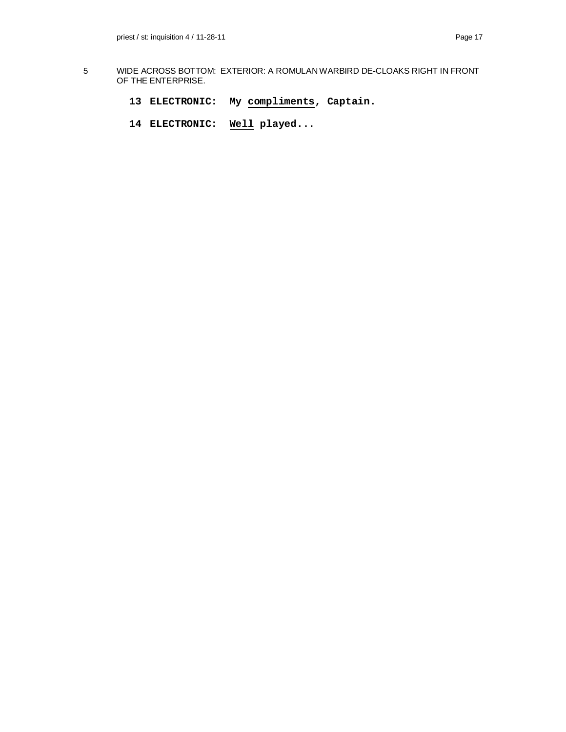- 5 WIDE ACROSS BOTTOM: EXTERIOR: A ROMULAN WARBIRD DE-CLOAKS RIGHT IN FRONT OF THE ENTERPRISE.
	- **13 ELECTRONIC: My compliments, Captain.**
	- **14 ELECTRONIC: Well played...**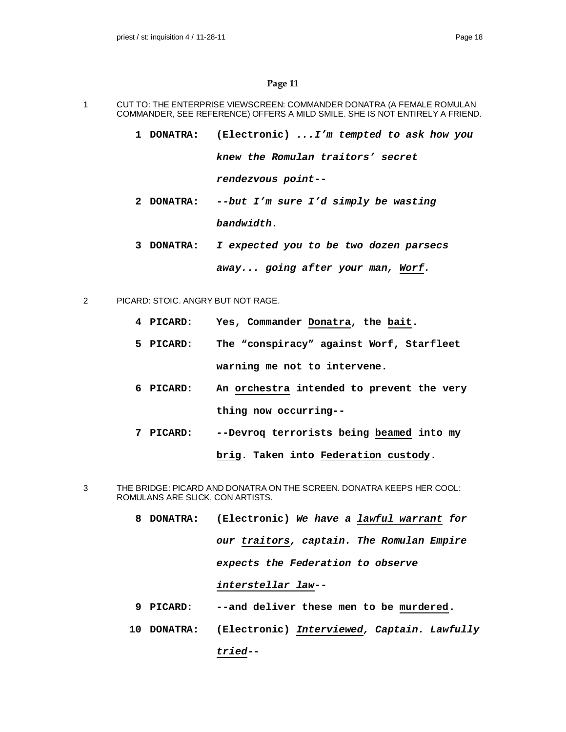- 1 CUT TO: THE ENTERPRISE VIEWSCREEN: COMMANDER DONATRA (A FEMALE ROMULAN COMMANDER, SEE REFERENCE) OFFERS A MILD SMILE. SHE IS NOT ENTIRELY A FRIEND.
	- **1 DONATRA: (Electronic)** *...I'm tempted to ask how you knew the Romulan traitors' secret rendezvous point--*
	- **2 DONATRA:** *--but I'm sure I'd simply be wasting bandwidth.*
	- **3 DONATRA:** *I expected you to be two dozen parsecs away... going after your man, Worf.*
- 2 PICARD: STOIC. ANGRY BUT NOT RAGE.
	- **4 PICARD: Yes, Commander Donatra, the bait.**
	- **5 PICARD: The "conspiracy" against Worf, Starfleet warning me not to intervene.**
	- **6 PICARD: An orchestra intended to prevent the very thing now occurring--**
	- **7 PICARD: --Devroq terrorists being beamed into my brig. Taken into Federation custody.**
- 3 THE BRIDGE: PICARD AND DONATRA ON THE SCREEN. DONATRA KEEPS HER COOL: ROMULANS ARE SLICK, CON ARTISTS.
	- **8 DONATRA: (Electronic)** *We have a lawful warrant for our traitors, captain. The Romulan Empire expects the Federation to observe interstellar law--*
	- **9 PICARD: --and deliver these men to be murdered.**
	- **10 DONATRA: (Electronic)** *Interviewed, Captain. Lawfully tried--*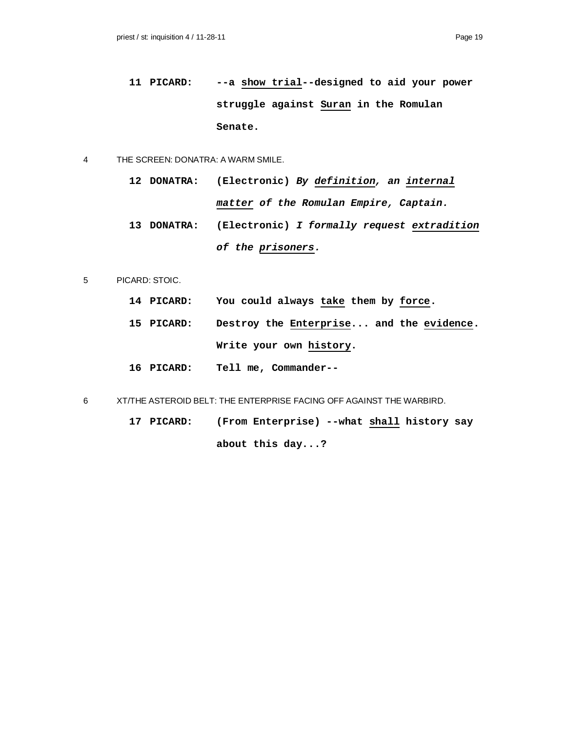**11 PICARD: --a show trial--designed to aid your power struggle against Suran in the Romulan Senate.**

#### 4 THE SCREEN: DONATRA: A WARM SMILE.

- **12 DONATRA: (Electronic)** *By definition, an internal matter of the Romulan Empire, Captain.*
- **13 DONATRA: (Electronic)** *I formally request extradition of the prisoners.*
- 5 PICARD: STOIC.
	- **14 PICARD: You could always take them by force.**
	- **15 PICARD: Destroy the Enterprise... and the evidence. Write your own history.**
	- **16 PICARD: Tell me, Commander--**
- 6 XT/THE ASTEROID BELT: THE ENTERPRISE FACING OFF AGAINST THE WARBIRD.
	- **17 PICARD: (From Enterprise) --what shall history say about this day...?**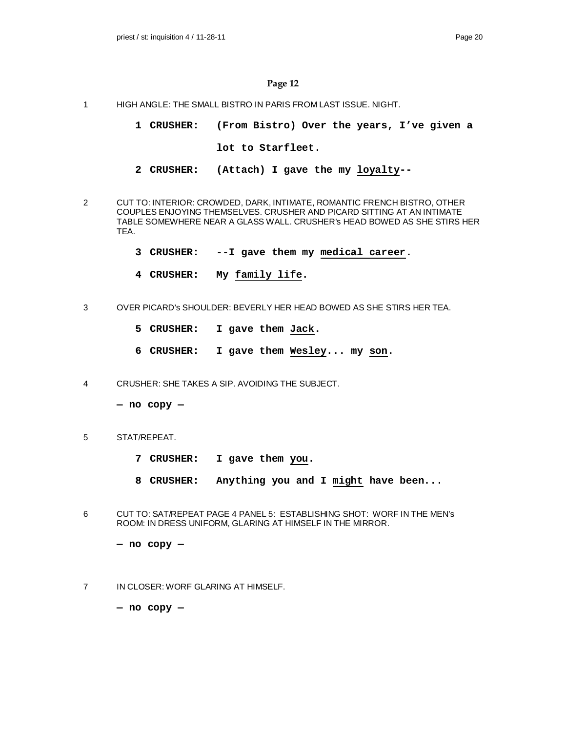- 1 HIGH ANGLE: THE SMALL BISTRO IN PARIS FROM LAST ISSUE. NIGHT.
	- **1 CRUSHER: (From Bistro) Over the years, I've given a lot to Starfleet.**
	- **2 CRUSHER: (Attach) I gave the my loyalty--**
- 2 CUT TO: INTERIOR: CROWDED, DARK, INTIMATE, ROMANTIC FRENCH BISTRO, OTHER COUPLES ENJOYING THEMSELVES. CRUSHER AND PICARD SITTING AT AN INTIMATE TABLE SOMEWHERE NEAR A GLASS WALL. CRUSHER's HEAD BOWED AS SHE STIRS HER TEA.
	- **3 CRUSHER: --I gave them my medical career.**
	- **4 CRUSHER: My family life.**
- 3 OVER PICARD's SHOULDER: BEVERLY HER HEAD BOWED AS SHE STIRS HER TEA.
	- **5 CRUSHER: I gave them Jack.**
	- **6 CRUSHER: I gave them Wesley... my son.**
- 4 CRUSHER: SHE TAKES A SIP. AVOIDING THE SUBJECT.
	- **no copy —**
- 5 STAT/REPEAT.
	- **7 CRUSHER: I gave them you.**
	- **8 CRUSHER: Anything you and I might have been...**
- 6 CUT TO: SAT/REPEAT PAGE 4 PANEL 5: ESTABLISHING SHOT: WORF IN THE MEN's ROOM: IN DRESS UNIFORM, GLARING AT HIMSELF IN THE MIRROR.
	- **no copy —**
- 7 IN CLOSER: WORF GLARING AT HIMSELF.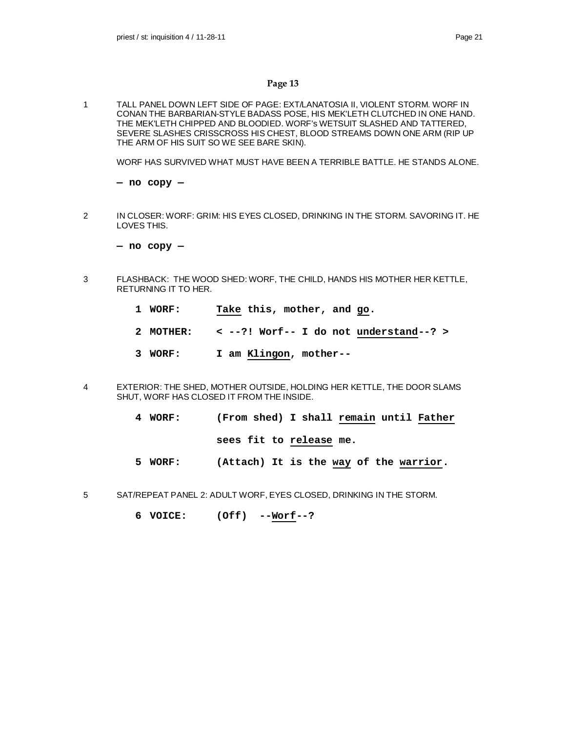1 TALL PANEL DOWN LEFT SIDE OF PAGE: EXT/LANATOSIA II, VIOLENT STORM. WORF IN CONAN THE BARBARIAN-STYLE BADASS POSE, HIS MEK'LETH CLUTCHED IN ONE HAND. THE MEK'LETH CHIPPED AND BLOODIED. WORF's WETSUIT SLASHED AND TATTERED, SEVERE SLASHES CRISSCROSS HIS CHEST, BLOOD STREAMS DOWN ONE ARM (RIP UP THE ARM OF HIS SUIT SO WE SEE BARE SKIN).

WORF HAS SURVIVED WHAT MUST HAVE BEEN A TERRIBLE BATTLE. HE STANDS ALONE.

**— no copy —**

2 IN CLOSER: WORF: GRIM: HIS EYES CLOSED, DRINKING IN THE STORM. SAVORING IT. HE LOVES THIS.

**— no copy —**

- 3 FLASHBACK: THE WOOD SHED: WORF, THE CHILD, HANDS HIS MOTHER HER KETTLE, RETURNING IT TO HER.
	- **1 WORF: Take this, mother, and go.**
	- **2 MOTHER: < --?! Worf-- I do not understand--? >**
	- **3 WORF: I am Klingon, mother--**
- 4 EXTERIOR: THE SHED, MOTHER OUTSIDE, HOLDING HER KETTLE, THE DOOR SLAMS SHUT, WORF HAS CLOSED IT FROM THE INSIDE.
	- **4 WORF: (From shed) I shall remain until Father**

**sees fit to release me.**

- **5 WORF: (Attach) It is the way of the warrior.**
- 5 SAT/REPEAT PANEL 2: ADULT WORF, EYES CLOSED, DRINKING IN THE STORM.
	- **6 VOICE: (Off) --Worf--?**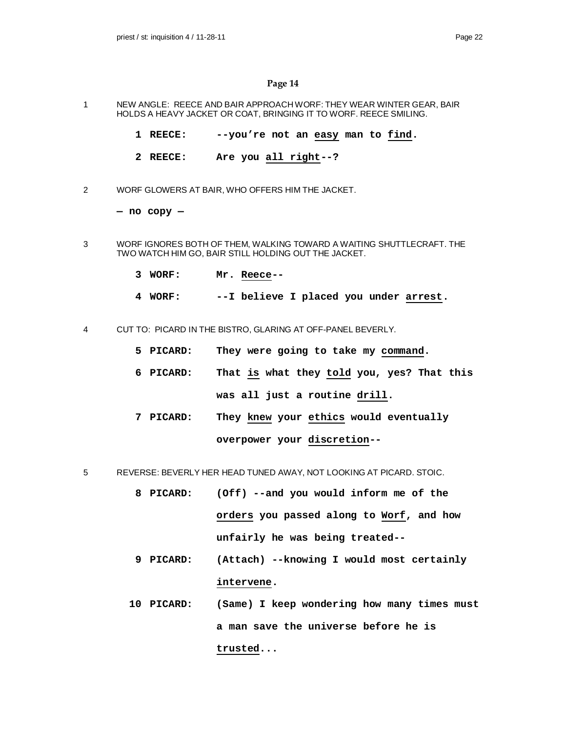- 1 NEW ANGLE: REECE AND BAIR APPROACH WORF: THEY WEAR WINTER GEAR, BAIR HOLDS A HEAVY JACKET OR COAT, BRINGING IT TO WORF. REECE SMILING.
	- **1 REECE: --you're not an easy man to find.**
	- **2 REECE: Are you all right--?**
- 2 WORF GLOWERS AT BAIR, WHO OFFERS HIM THE JACKET.

- 3 WORF IGNORES BOTH OF THEM, WALKING TOWARD A WAITING SHUTTLECRAFT. THE TWO WATCH HIM GO, BAIR STILL HOLDING OUT THE JACKET.
	- **3 WORF: Mr. Reece--**
	- **4 WORF: --I believe I placed you under arrest.**
- 4 CUT TO: PICARD IN THE BISTRO, GLARING AT OFF-PANEL BEVERLY.
	- **5 PICARD: They were going to take my command.**
	- **6 PICARD: That is what they told you, yes? That this was all just a routine drill.**
	- **7 PICARD: They knew your ethics would eventually overpower your discretion--**
- 5 REVERSE: BEVERLY HER HEAD TUNED AWAY, NOT LOOKING AT PICARD. STOIC.
	- **8 PICARD: (Off) --and you would inform me of the orders you passed along to Worf, and how unfairly he was being treated--**
	- **9 PICARD: (Attach) --knowing I would most certainly intervene.**
	- **10 PICARD: (Same) I keep wondering how many times must a man save the universe before he is trusted...**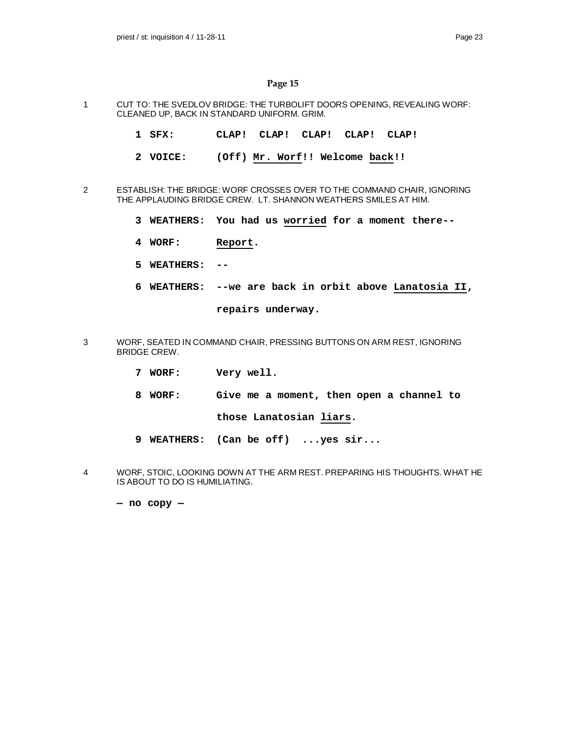- 1 CUT TO: THE SVEDLOV BRIDGE: THE TURBOLIFT DOORS OPENING, REVEALING WORF: CLEANED UP, BACK IN STANDARD UNIFORM. GRIM.
	- **1 SFX: CLAP! CLAP! CLAP! CLAP! CLAP!**
	- **2 VOICE: (Off) Mr. Worf!! Welcome back!!**
- 2 ESTABLISH: THE BRIDGE: WORF CROSSES OVER TO THE COMMAND CHAIR, IGNORING THE APPLAUDING BRIDGE CREW. LT. SHANNON WEATHERS SMILES AT HIM.
	- **3 WEATHERS: You had us worried for a moment there--**
	- **4 WORF: Report.**
	- **5 WEATHERS: --**
	- **6 WEATHERS: --we are back in orbit above Lanatosia II,**

**repairs underway.**

- 3 WORF, SEATED IN COMMAND CHAIR, PRESSING BUTTONS ON ARM REST, IGNORING BRIDGE CREW.
	- **7 WORF: Very well.**
	- **8 WORF: Give me a moment, then open a channel to**

**those Lanatosian liars.**

- **9 WEATHERS: (Can be off) ...yes sir...**
- 4 WORF, STOIC, LOOKING DOWN AT THE ARM REST. PREPARING HIS THOUGHTS. WHAT HE IS ABOUT TO DO IS HUMILIATING.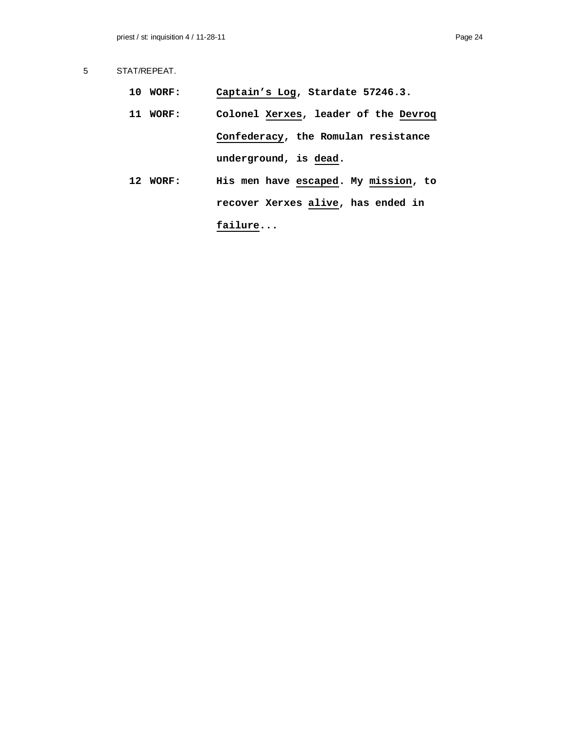- **10 WORF: Captain's Log, Stardate 57246.3.**
- **11 WORF: Colonel Xerxes, leader of the Devroq Confederacy, the Romulan resistance underground, is dead.**
- **12 WORF: His men have escaped. My mission, to recover Xerxes alive, has ended in failure...**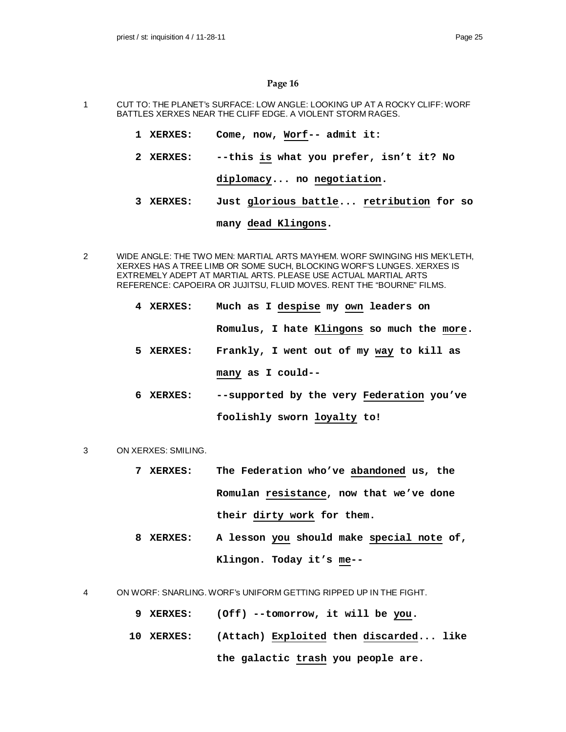- 1 CUT TO: THE PLANET's SURFACE: LOW ANGLE: LOOKING UP AT A ROCKY CLIFF: WORF BATTLES XERXES NEAR THE CLIFF EDGE. A VIOLENT STORM RAGES.
	- **1 XERXES: Come, now, Worf-- admit it:**
	- **2 XERXES: --this is what you prefer, isn't it? No**

**diplomacy... no negotiation.**

**3 XERXES: Just glorious battle... retribution for so**

### **many dead Klingons.**

- 2 WIDE ANGLE: THE TWO MEN: MARTIAL ARTS MAYHEM. WORF SWINGING HIS MEK'LETH, XERXES HAS A TREE LIMB OR SOME SUCH, BLOCKING WORF'S LUNGES. XERXES IS EXTREMELY ADEPT AT MARTIAL ARTS. PLEASE USE ACTUAL MARTIAL ARTS REFERENCE: CAPOEIRA OR JUJITSU, FLUID MOVES. RENT THE "BOURNE" FILMS.
	- **4 XERXES: Much as I despise my own leaders on Romulus, I hate Klingons so much the more. 5 XERXES: Frankly, I went out of my way to kill as many as I could--**
	- **6 XERXES: --supported by the very Federation you've foolishly sworn loyalty to!**
- 3 ON XERXES: SMILING.
	- **7 XERXES: The Federation who've abandoned us, the Romulan resistance, now that we've done their dirty work for them.**
	- **8 XERXES: A lesson you should make special note of, Klingon. Today it's me--**
- 4 ON WORF: SNARLING. WORF's UNIFORM GETTING RIPPED UP IN THE FIGHT.
	- **9 XERXES: (Off) --tomorrow, it will be you.**
	- **10 XERXES: (Attach) Exploited then discarded... like the galactic trash you people are.**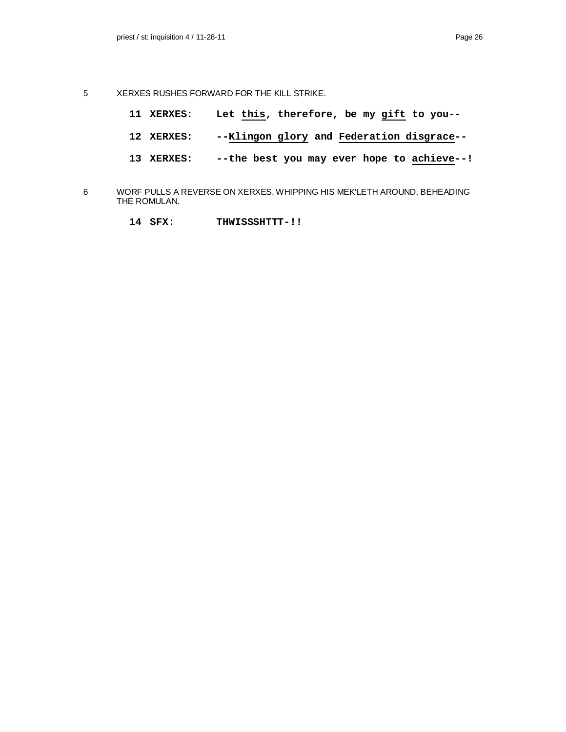- 5 XERXES RUSHES FORWARD FOR THE KILL STRIKE.
	- **11 XERXES: Let this, therefore, be my gift to you--**
	- **12 XERXES: --Klingon glory and Federation disgrace--**
	- **13 XERXES: --the best you may ever hope to achieve--!**
- 6 WORF PULLS A REVERSE ON XERXES, WHIPPING HIS MEK'LETH AROUND, BEHEADING THE ROMULAN.
	- **14 SFX: THWISSSHTTT-!!**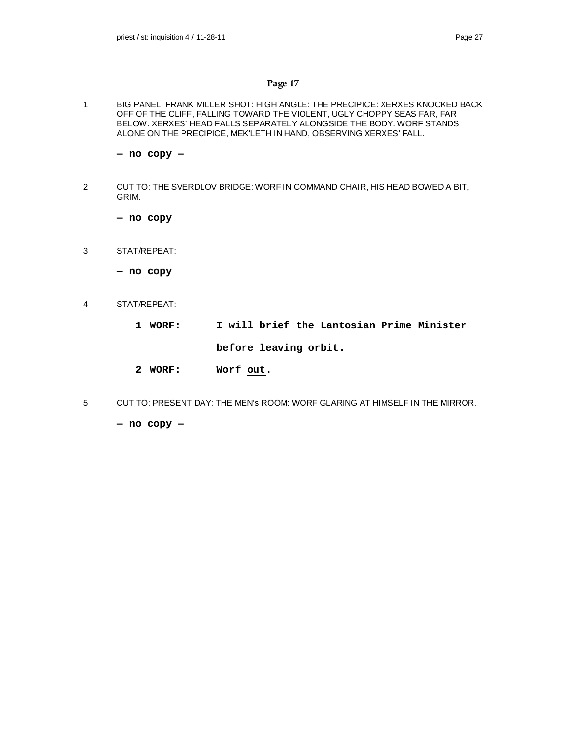1 BIG PANEL: FRANK MILLER SHOT: HIGH ANGLE: THE PRECIPICE: XERXES KNOCKED BACK OFF OF THE CLIFF, FALLING TOWARD THE VIOLENT, UGLY CHOPPY SEAS FAR, FAR BELOW. XERXES' HEAD FALLS SEPARATELY ALONGSIDE THE BODY. WORF STANDS ALONE ON THE PRECIPICE, MEK'LETH IN HAND, OBSERVING XERXES' FALL.

**— no copy —**

2 CUT TO: THE SVERDLOV BRIDGE: WORF IN COMMAND CHAIR, HIS HEAD BOWED A BIT, GRIM.

**— no copy**

- 3 STAT/REPEAT:
	- **no copy**
- 4 STAT/REPEAT:
	- **1 WORF: I will brief the Lantosian Prime Minister before leaving orbit.**
	- **2 WORF: Worf out.**
- 5 CUT TO: PRESENT DAY: THE MEN's ROOM: WORF GLARING AT HIMSELF IN THE MIRROR.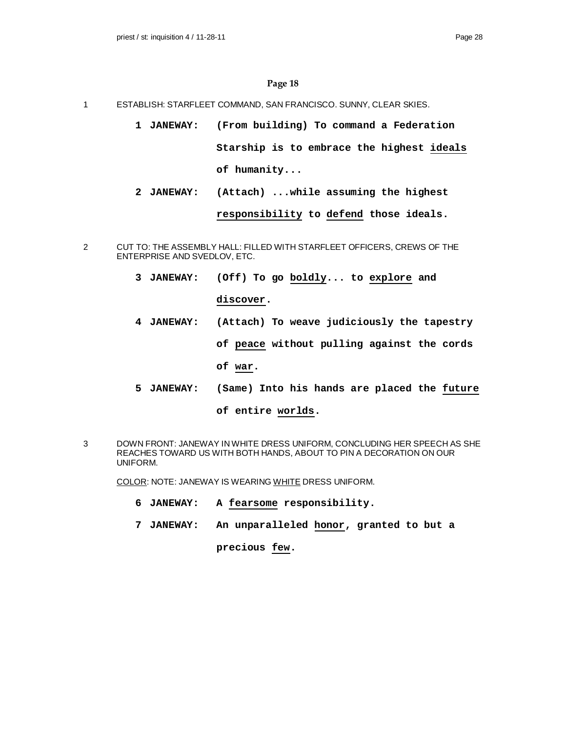- 1 ESTABLISH: STARFLEET COMMAND, SAN FRANCISCO. SUNNY, CLEAR SKIES.
	- **1 JANEWAY: (From building) To command a Federation Starship is to embrace the highest ideals of humanity...**
	- **2 JANEWAY: (Attach) ...while assuming the highest responsibility to defend those ideals.**
- 2 CUT TO: THE ASSEMBLY HALL: FILLED WITH STARFLEET OFFICERS, CREWS OF THE ENTERPRISE AND SVEDLOV, ETC.
	- **3 JANEWAY: (Off) To go boldly... to explore and discover.**
	- **4 JANEWAY: (Attach) To weave judiciously the tapestry of peace without pulling against the cords of war.**
	- **5 JANEWAY: (Same) Into his hands are placed the future of entire worlds.**
- 3 DOWN FRONT: JANEWAY IN WHITE DRESS UNIFORM, CONCLUDING HER SPEECH AS SHE REACHES TOWARD US WITH BOTH HANDS, ABOUT TO PIN A DECORATION ON OUR UNIFORM.

COLOR: NOTE: JANEWAY IS WEARING WHITE DRESS UNIFORM.

- **6 JANEWAY: A fearsome responsibility.**
- **7 JANEWAY: An unparalleled honor, granted to but a**

**precious few.**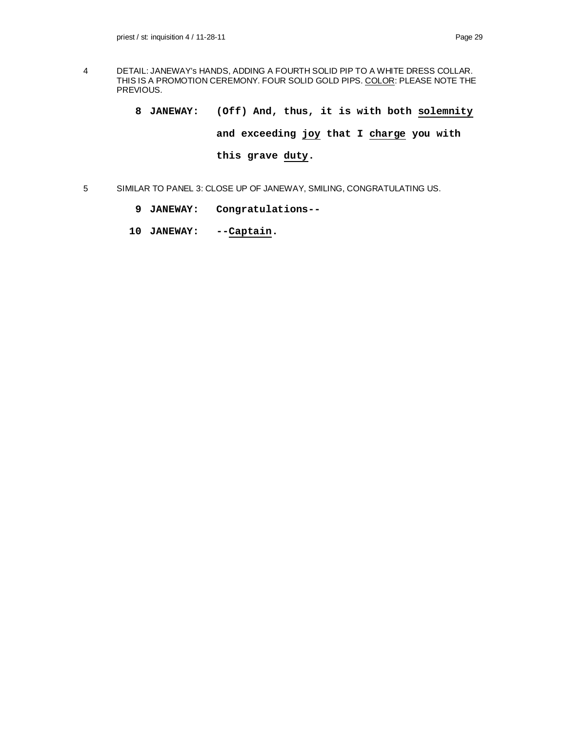- 4 DETAIL: JANEWAY's HANDS, ADDING A FOURTH SOLID PIP TO A WHITE DRESS COLLAR. THIS IS A PROMOTION CEREMONY. FOUR SOLID GOLD PIPS. COLOR: PLEASE NOTE THE PREVIOUS.
	- **8 JANEWAY: (Off) And, thus, it is with both solemnity and exceeding joy that I charge you with this grave duty.**
- 5 SIMILAR TO PANEL 3: CLOSE UP OF JANEWAY, SMILING, CONGRATULATING US.
	- **9 JANEWAY: Congratulations--**
	- **10 JANEWAY: --Captain.**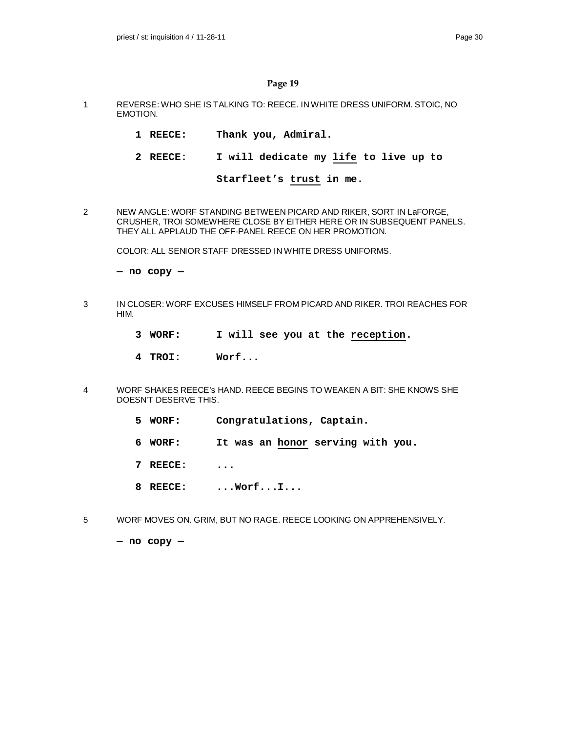- 1 REVERSE: WHO SHE IS TALKING TO: REECE. IN WHITE DRESS UNIFORM. STOIC, NO EMOTION.
	- **1 REECE: Thank you, Admiral.**
	- **2 REECE: I will dedicate my life to live up to**

```
Starfleet's trust in me.
```
2 NEW ANGLE: WORF STANDING BETWEEN PICARD AND RIKER, SORT IN LaFORGE, CRUSHER, TROI SOMEWHERE CLOSE BY EITHER HERE OR IN SUBSEQUENT PANELS. THEY ALL APPLAUD THE OFF-PANEL REECE ON HER PROMOTION.

COLOR: ALL SENIOR STAFF DRESSED IN WHITE DRESS UNIFORMS.

**— no copy —**

- 3 IN CLOSER: WORF EXCUSES HIMSELF FROM PICARD AND RIKER. TROI REACHES FOR HIM.
	- **3 WORF: I will see you at the reception.**
	- **4 TROI: Worf...**
- 4 WORF SHAKES REECE's HAND. REECE BEGINS TO WEAKEN A BIT: SHE KNOWS SHE DOESN'T DESERVE THIS.
	- **5 WORF: Congratulations, Captain.**
	- **6 WORF: It was an honor serving with you.**
	- **7 REECE: ...**
	- **8 REECE: ...Worf...I...**
- 5 WORF MOVES ON. GRIM, BUT NO RAGE. REECE LOOKING ON APPREHENSIVELY.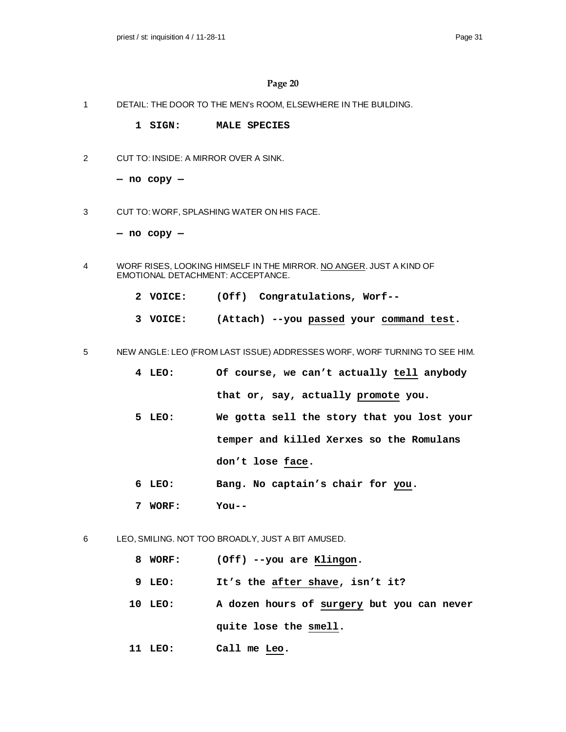- 1 DETAIL: THE DOOR TO THE MEN's ROOM, ELSEWHERE IN THE BUILDING.
	- **1 SIGN: MALE SPECIES**
- 2 CUT TO: INSIDE: A MIRROR OVER A SINK.

**— no copy —**

3 CUT TO: WORF, SPLASHING WATER ON HIS FACE.

- 4 WORF RISES, LOOKING HIMSELF IN THE MIRROR. NO ANGER. JUST A KIND OF EMOTIONAL DETACHMENT: ACCEPTANCE.
	- **2 VOICE: (Off) Congratulations, Worf--**
	- **3 VOICE: (Attach) --you passed your command test.**
- 5 NEW ANGLE: LEO (FROM LAST ISSUE) ADDRESSES WORF, WORF TURNING TO SEE HIM.
	- **4 LEO: Of course, we can't actually tell anybody that or, say, actually promote you.**
	- **5 LEO: We gotta sell the story that you lost your temper and killed Xerxes so the Romulans don't lose face.**
	- **6 LEO: Bang. No captain's chair for you.**
	- **7 WORF: You--**
- 6 LEO, SMILING. NOT TOO BROADLY, JUST A BIT AMUSED.
	- **8 WORF: (Off) --you are Klingon.**
	- **9 LEO: It's the after shave, isn't it?**
	- **10 LEO: A dozen hours of surgery but you can never quite lose the smell.**
	- **11 LEO: Call me Leo.**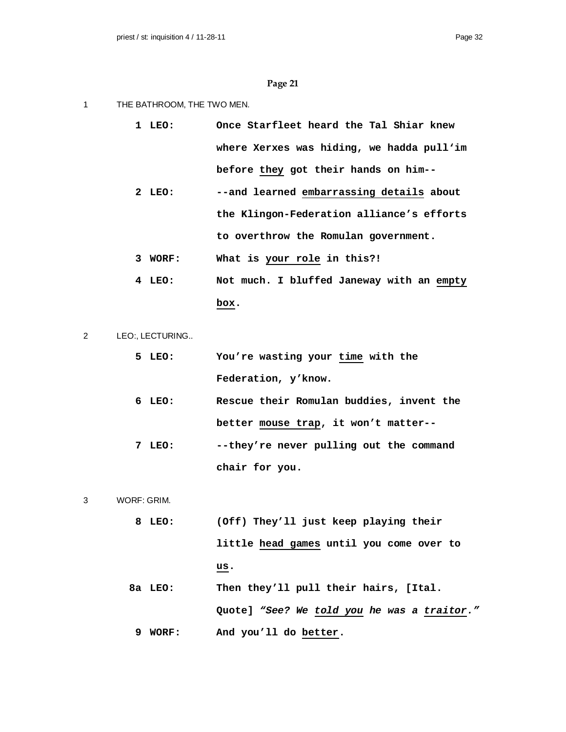- 1 THE BATHROOM, THE TWO MEN.
	- **1 LEO: Once Starfleet heard the Tal Shiar knew where Xerxes was hiding, we hadda pull'im before they got their hands on him--**
	- **2 LEO: --and learned embarrassing details about the Klingon-Federation alliance's efforts to overthrow the Romulan government.**
	- **3 WORF: What is your role in this?!**
	- **4 LEO: Not much. I bluffed Janeway with an empty box.**
- 2 LEO:, LECTURING..
	- **5 LEO: You're wasting your time with the Federation, y'know.**
	- **6 LEO: Rescue their Romulan buddies, invent the better mouse trap, it won't matter--**
	- **7 LEO: --they're never pulling out the command chair for you.**
- 3 WORF: GRIM.
	- **8 LEO: (Off) They'll just keep playing their little head games until you come over to us.**
	- **8a LEO: Then they'll pull their hairs, [Ital. Quote]** *"See? We told you he was a traitor."* **9 WORF: And you'll do better.**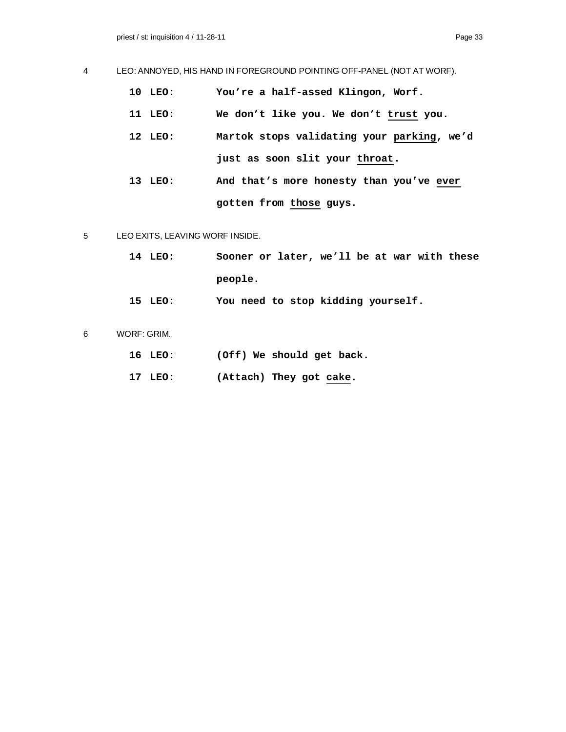# 4 LEO: ANNOYED, HIS HAND IN FOREGROUND POINTING OFF-PANEL (NOT AT WORF).

- **10 LEO: You're a half-assed Klingon, Worf.**
- **11 LEO: We don't like you. We don't trust you.**
- **12 LEO: Martok stops validating your parking, we'd just as soon slit your throat.**
- **13 LEO: And that's more honesty than you've ever gotten from those guys.**
- 5 LEO EXITS, LEAVING WORF INSIDE.
	- **14 LEO: Sooner or later, we'll be at war with these people.**
	- **15 LEO: You need to stop kidding yourself.**
- 6 WORF: GRIM.
	- **16 LEO: (Off) We should get back.**
	- **17 LEO: (Attach) They got cake.**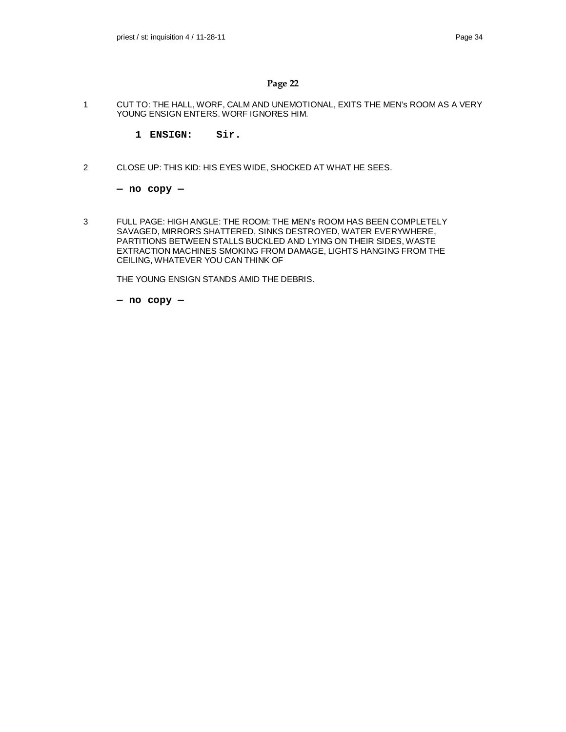1 CUT TO: THE HALL, WORF, CALM AND UNEMOTIONAL, EXITS THE MEN's ROOM AS A VERY YOUNG ENSIGN ENTERS. WORF IGNORES HIM.

**1 ENSIGN: Sir.**

2 CLOSE UP: THIS KID: HIS EYES WIDE, SHOCKED AT WHAT HE SEES.

**— no copy —**

3 FULL PAGE: HIGH ANGLE: THE ROOM: THE MEN's ROOM HAS BEEN COMPLETELY SAVAGED, MIRRORS SHATTERED, SINKS DESTROYED, WATER EVERYWHERE, PARTITIONS BETWEEN STALLS BUCKLED AND LYING ON THEIR SIDES, WASTE EXTRACTION MACHINES SMOKING FROM DAMAGE, LIGHTS HANGING FROM THE CEILING, WHATEVER YOU CAN THINK OF

THE YOUNG ENSIGN STANDS AMID THE DEBRIS.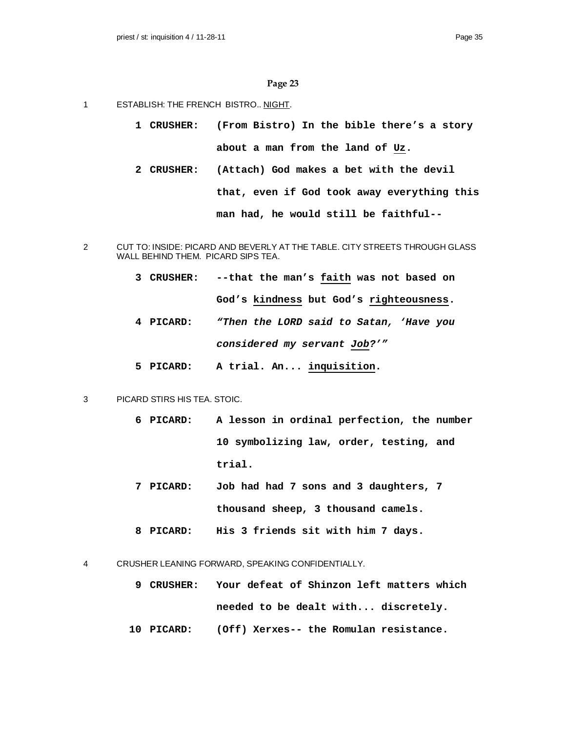- 1 ESTABLISH: THE FRENCH BISTRO.. NIGHT.
	- **1 CRUSHER: (From Bistro) In the bible there's a story about a man from the land of Uz.**
	- **2 CRUSHER: (Attach) God makes a bet with the devil that, even if God took away everything this man had, he would still be faithful--**
- 2 CUT TO: INSIDE: PICARD AND BEVERLY AT THE TABLE. CITY STREETS THROUGH GLASS WALL BEHIND THEM. PICARD SIPS TEA.
	- **3 CRUSHER: --that the man's faith was not based on God's kindness but God's righteousness.**
	- **4 PICARD:** *"Then the LORD said to Satan, 'Have you considered my servant Job?'"*
	- **5 PICARD: A trial. An... inquisition.**
- 3 PICARD STIRS HIS TEA. STOIC.
	- **6 PICARD: A lesson in ordinal perfection, the number 10 symbolizing law, order, testing, and trial.**
	- **7 PICARD: Job had had 7 sons and 3 daughters, 7 thousand sheep, 3 thousand camels.**
	- **8 PICARD: His 3 friends sit with him 7 days.**

4 CRUSHER LEANING FORWARD, SPEAKING CONFIDENTIALLY.

- **9 CRUSHER: Your defeat of Shinzon left matters which needed to be dealt with... discretely.**
- **10 PICARD: (Off) Xerxes-- the Romulan resistance.**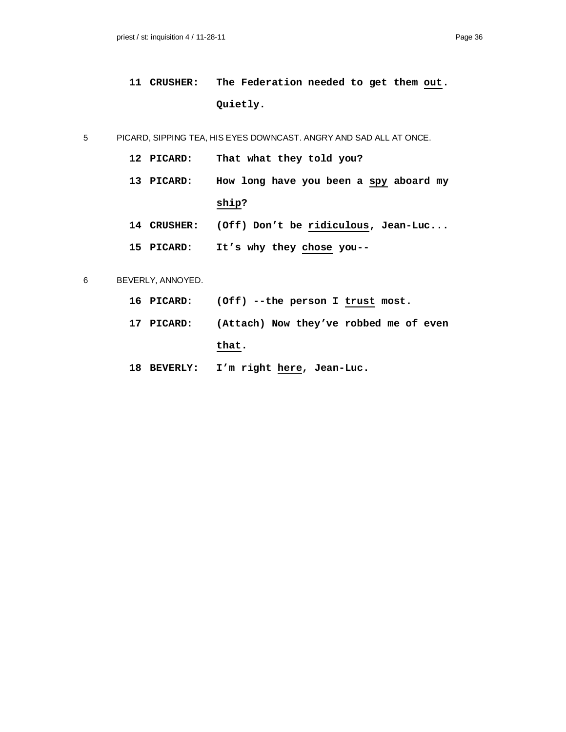**11 CRUSHER: The Federation needed to get them out. Quietly.**

5 PICARD, SIPPING TEA, HIS EYES DOWNCAST. ANGRY AND SAD ALL AT ONCE.

- **12 PICARD: That what they told you?**
- **13 PICARD: How long have you been a spy aboard my ship?**
- **14 CRUSHER: (Off) Don't be ridiculous, Jean-Luc...**
- **15 PICARD: It's why they chose you--**

### 6 BEVERLY, ANNOYED.

- **16 PICARD: (Off) --the person I trust most.**
- **17 PICARD: (Attach) Now they've robbed me of even that.**
- **18 BEVERLY: I'm right here, Jean-Luc.**